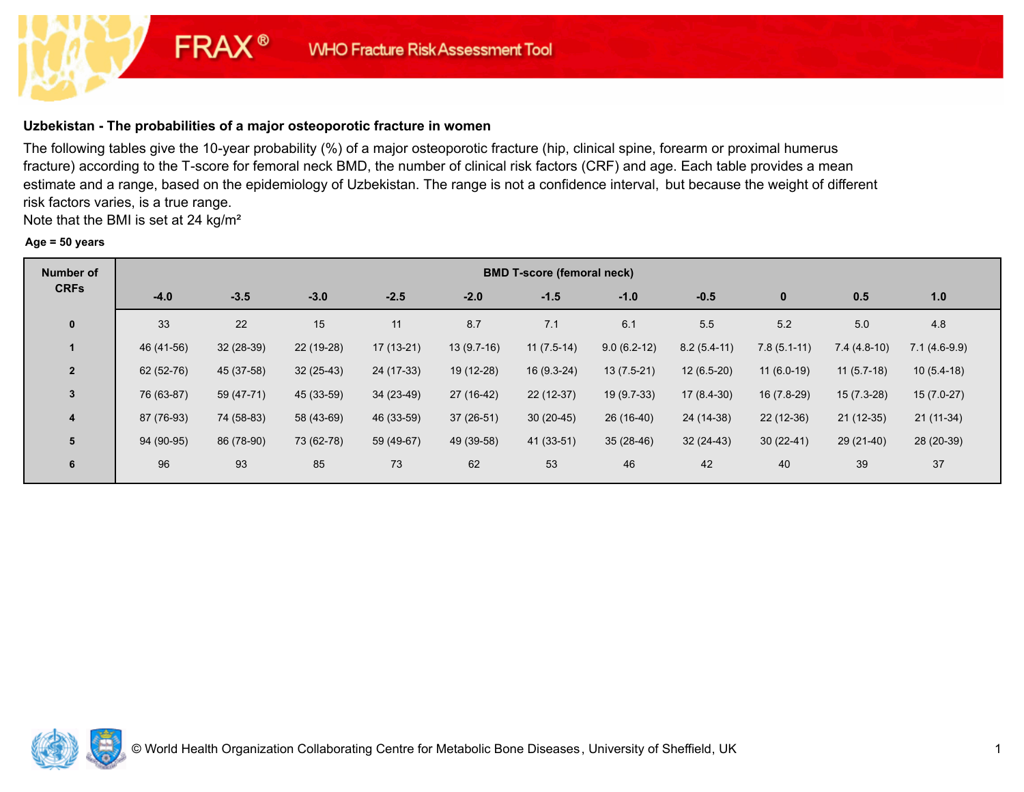# **Uzbekistan - The probabilities of a major osteoporotic fracture in women**

**FRAX®** 

The following tables give the 10-year probability (%) of a major osteoporotic fracture (hip, clinical spine, forearm or proximal humerus fracture) according to the T-score for femoral neck BMD, the number of clinical risk factors (CRF) and age. Each table provides a mean estimate and a range, based on the epidemiology of Uzbekistan. The range is not a confidence interval, but because the weight of different risk factors varies, is a true range.

Note that the BMI is set at 24 kg/m²

#### **Age = 50 years**

| <b>Number of</b>                                                            |            |            |             |             |              | <b>BMD T-score (femoral neck)</b> |               |               |               |               |                |  |
|-----------------------------------------------------------------------------|------------|------------|-------------|-------------|--------------|-----------------------------------|---------------|---------------|---------------|---------------|----------------|--|
| <b>CRFs</b><br>$\mathbf 0$<br>$\overline{2}$<br>$\mathbf{3}$<br>4<br>5<br>6 | $-4.0$     | $-3.5$     | $-3.0$      | $-2.5$      | $-2.0$       | $-1.5$                            | $-1.0$        | $-0.5$        | $\bf{0}$      | 0.5           | 1.0            |  |
|                                                                             | 33         | 22         | 15          | 11          | 8.7          | 7.1                               | 6.1           | 5.5           | 5.2           | 5.0           | 4.8            |  |
|                                                                             | 46 (41-56) | 32 (28-39) | 22 (19-28)  | $17(13-21)$ | $13(9.7-16)$ | $11(7.5-14)$                      | $9.0(6.2-12)$ | $8.2(5.4-11)$ | $7.8(5.1-11)$ | $7.4(4.8-10)$ | $7.1(4.6-9.9)$ |  |
|                                                                             | 62 (52-76) | 45 (37-58) | $32(25-43)$ | 24 (17-33)  | 19 (12-28)   | $16(9.3-24)$                      | $13(7.5-21)$  | $12(6.5-20)$  | $11(6.0-19)$  | $11(5.7-18)$  | $10(5.4-18)$   |  |
|                                                                             | 76 (63-87) | 59 (47-71) | 45 (33-59)  | 34 (23-49)  | 27 (16-42)   | $22(12-37)$                       | 19 (9.7-33)   | $17(8.4-30)$  | 16 (7.8-29)   | $15(7.3-28)$  | $15(7.0-27)$   |  |
|                                                                             | 87 (76-93) | 74 (58-83) | 58 (43-69)  | 46 (33-59)  | $37(26-51)$  | $30(20-45)$                       | 26 (16-40)    | 24 (14-38)    | 22 (12-36)    | $21(12-35)$   | $21(11-34)$    |  |
|                                                                             | 94 (90-95) | 86 (78-90) | 73 (62-78)  | 59 (49-67)  | 49 (39-58)   | 41 (33-51)                        | $35(28-46)$   | $32(24-43)$   | $30(22-41)$   | 29 (21-40)    | 28 (20-39)     |  |
|                                                                             | 96         | 93         | 85          | 73          | 62           | 53                                | 46            | 42            | 40            | 39            | 37             |  |

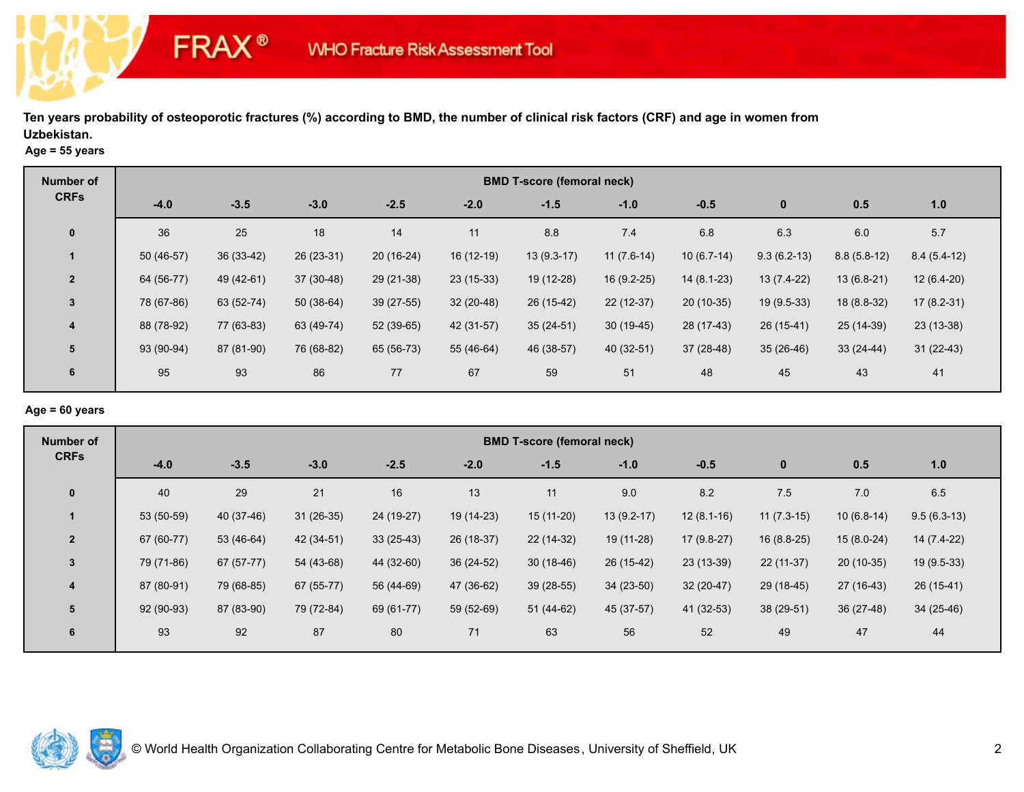### **Age = 55 years**

**FRAX®** 

| <b>Number of</b> |            | <b>BMD T-score (femoral neck)</b> |             |            |             |              |              |              |               |               |               |  |  |  |
|------------------|------------|-----------------------------------|-------------|------------|-------------|--------------|--------------|--------------|---------------|---------------|---------------|--|--|--|
| <b>CRFs</b>      | $-4.0$     | $-3.5$                            | $-3.0$      | $-2.5$     | $-2.0$      | $-1.5$       | $-1.0$       | $-0.5$       | $\bf{0}$      | 0.5           | 1.0           |  |  |  |
| $\mathbf 0$      | 36         | 25                                | 18          | 14         | 11          | 8.8          | 7.4          | 6.8          | 6.3           | 6.0           | 5.7           |  |  |  |
|                  | 50 (46-57) | 36 (33-42)                        | 26 (23-31)  | 20 (16-24) | $16(12-19)$ | $13(9.3-17)$ | $11(7.6-14)$ | $10(6.7-14)$ | $9.3(6.2-13)$ | $8.8(5.8-12)$ | $8.4(5.4-12)$ |  |  |  |
| $\overline{2}$   | 64 (56-77) | 49 (42-61)                        | $37(30-48)$ | 29 (21-38) | 23 (15-33)  | 19 (12-28)   | 16 (9.2-25)  | $14(8.1-23)$ | 13 (7.4-22)   | 13 (6.8-21)   | $12(6.4-20)$  |  |  |  |
| $\mathbf{3}$     | 78 (67-86) | 63 (52-74)                        | $50(38-64)$ | 39 (27-55) | $32(20-48)$ | 26 (15-42)   | $22(12-37)$  | $20(10-35)$  | 19 (9.5-33)   | 18 (8.8-32)   | $17(8.2-31)$  |  |  |  |
| $\overline{4}$   | 88 (78-92) | 77 (63-83)                        | 63 (49-74)  | 52 (39-65) | 42 (31-57)  | $35(24-51)$  | $30(19-45)$  | 28 (17-43)   | $26(15-41)$   | 25 (14-39)    | $23(13-38)$   |  |  |  |
| 5                | 93 (90-94) | 87 (81-90)                        | 76 (68-82)  | 65 (56-73) | 55 (46-64)  | 46 (38-57)   | 40 (32-51)   | $37(28-48)$  | $35(26-46)$   | $33(24-44)$   | $31(22-43)$   |  |  |  |
| 6                | 95         | 93                                | 86          | 77         | 67          | 59           | 51           | 48           | 45            | 43            | 41            |  |  |  |

# **Age = 60 years**

| Number of                                                               | <b>BMD T-score (femoral neck)</b> |            |             |             |             |             |              |              |              |              |               |  |  |
|-------------------------------------------------------------------------|-----------------------------------|------------|-------------|-------------|-------------|-------------|--------------|--------------|--------------|--------------|---------------|--|--|
| <b>CRFs</b><br>$\mathbf{0}$<br>$\overline{2}$<br>$\mathbf{3}$<br>4<br>5 | $-4.0$                            | $-3.5$     | $-3.0$      | $-2.5$      | $-2.0$      | $-1.5$      | $-1.0$       | $-0.5$       | $\bf{0}$     | 0.5          | 1.0           |  |  |
|                                                                         | 40                                | 29         | 21          | 16          | 13          | 11          | 9.0          | 8.2          | $7.5$        | 7.0          | 6.5           |  |  |
|                                                                         | 53 (50-59)                        | 40 (37-46) | $31(26-35)$ | 24 (19-27)  | $19(14-23)$ | $15(11-20)$ | $13(9.2-17)$ | $12(8.1-16)$ | $11(7.3-15)$ | $10(6.8-14)$ | $9.5(6.3-13)$ |  |  |
|                                                                         | 67 (60-77)                        | 53 (46-64) | 42 (34-51)  | $33(25-43)$ | 26 (18-37)  | 22 (14-32)  | 19 (11-28)   | $17(9.8-27)$ | 16 (8.8-25)  | $15(8.0-24)$ | 14 (7.4-22)   |  |  |
|                                                                         | 79 (71-86)                        | 67 (57-77) | 54 (43-68)  | 44 (32-60)  | 36 (24-52)  | $30(18-46)$ | 26 (15-42)   | 23 (13-39)   | $22(11-37)$  | $20(10-35)$  | 19 (9.5-33)   |  |  |
|                                                                         | 87 (80-91)                        | 79 (68-85) | 67 (55-77)  | 56 (44-69)  | 47 (36-62)  | 39 (28-55)  | $34(23-50)$  | $32(20-47)$  | 29 (18-45)   | $27(16-43)$  | $26(15-41)$   |  |  |
|                                                                         | 92 (90-93)                        | 87 (83-90) | 79 (72-84)  | 69 (61-77)  | 59 (52-69)  | 51 (44-62)  | 45 (37-57)   | 41 (32-53)   | 38 (29-51)   | $36(27-48)$  | 34 (25-46)    |  |  |
| 6                                                                       | 93                                | 92         | 87          | 80          | 71          | 63          | 56           | 52           | 49           | 47           | 44            |  |  |

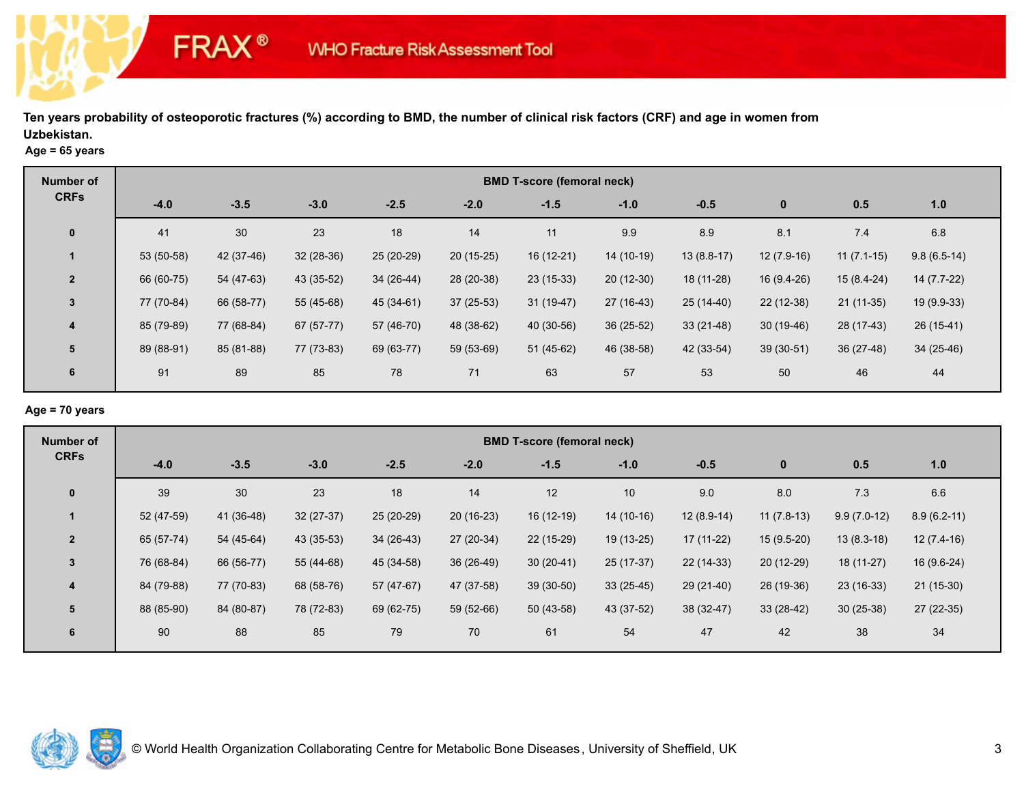### **Age = 65 years**

**FRAX®** 

| <b>Number of</b>                                                                      | <b>BMD T-score (femoral neck)</b> |            |             |            |             |             |             |              |              |              |               |  |  |
|---------------------------------------------------------------------------------------|-----------------------------------|------------|-------------|------------|-------------|-------------|-------------|--------------|--------------|--------------|---------------|--|--|
| <b>CRFs</b><br>$\mathbf 0$<br>$\overline{2}$<br>3<br>$\overline{4}$<br>$5\phantom{1}$ | $-4.0$                            | $-3.5$     | $-3.0$      | $-2.5$     | $-2.0$      | $-1.5$      | $-1.0$      | $-0.5$       | $\mathbf 0$  | 0.5          | 1.0           |  |  |
|                                                                                       | 41                                | 30         | 23          | 18         | 14          | 11          | 9.9         | 8.9          | 8.1          | 7.4          | 6.8           |  |  |
|                                                                                       | 53 (50-58)                        | 42 (37-46) | $32(28-36)$ | 25 (20-29) | $20(15-25)$ | $16(12-21)$ | $14(10-19)$ | $13(8.8-17)$ | $12(7.9-16)$ | $11(7.1-15)$ | $9.8(6.5-14)$ |  |  |
|                                                                                       | 66 (60-75)                        | 54 (47-63) | 43 (35-52)  | 34 (26-44) | 28 (20-38)  | 23 (15-33)  | $20(12-30)$ | 18 (11-28)   | 16 (9.4-26)  | $15(8.4-24)$ | $14(7.7-22)$  |  |  |
|                                                                                       | 77 (70-84)                        | 66 (58-77) | 55 (45-68)  | 45 (34-61) | $37(25-53)$ | $31(19-47)$ | $27(16-43)$ | $25(14-40)$  | 22 (12-38)   | $21(11-35)$  | 19 (9.9-33)   |  |  |
|                                                                                       | 85 (79-89)                        | 77 (68-84) | $67(57-77)$ | 57 (46-70) | 48 (38-62)  | 40 (30-56)  | 36 (25-52)  | $33(21-48)$  | $30(19-46)$  | 28 (17-43)   | $26(15-41)$   |  |  |
|                                                                                       | 89 (88-91)                        | 85 (81-88) | 77 (73-83)  | 69 (63-77) | 59 (53-69)  | $51(45-62)$ | 46 (38-58)  | 42 (33-54)   | $39(30-51)$  | $36(27-48)$  | $34(25-46)$   |  |  |
| 6                                                                                     | 91                                | 89         | 85          | 78         | 71          | 63          | 57          | 53           | 50           | 46           | 44            |  |  |

# **Age = 70 years**

| Number of                                                   | <b>BMD T-score (femoral neck)</b> |            |            |             |             |             |             |              |              |               |               |  |
|-------------------------------------------------------------|-----------------------------------|------------|------------|-------------|-------------|-------------|-------------|--------------|--------------|---------------|---------------|--|
| <b>CRFs</b><br>$\mathbf 0$<br>$\overline{2}$<br>3<br>4<br>5 | $-4.0$                            | $-3.5$     | $-3.0$     | $-2.5$      | $-2.0$      | $-1.5$      | $-1.0$      | $-0.5$       | $\bf{0}$     | 0.5           | 1.0           |  |
|                                                             | 39                                | 30         | 23         | 18          | 14          | 12          | 10          | 9.0          | 8.0          | 7.3           | 6.6           |  |
|                                                             | 52 (47-59)                        | 41 (36-48) | 32 (27-37) | 25 (20-29)  | $20(16-23)$ | $16(12-19)$ | 14 (10-16)  | $12(8.9-14)$ | $11(7.8-13)$ | $9.9(7.0-12)$ | $8.9(6.2-11)$ |  |
|                                                             | 65 (57-74)                        | 54 (45-64) | 43 (35-53) | $34(26-43)$ | 27 (20-34)  | 22 (15-29)  | 19 (13-25)  | $17(11-22)$  | $15(9.5-20)$ | $13(8.3-18)$  | $12(7.4-16)$  |  |
|                                                             | 76 (68-84)                        | 66 (56-77) | 55 (44-68) | 45 (34-58)  | 36 (26-49)  | $30(20-41)$ | 25 (17-37)  | $22(14-33)$  | $20(12-29)$  | $18(11-27)$   | 16 (9.6-24)   |  |
|                                                             | 84 (79-88)                        | 77 (70-83) | 68 (58-76) | 57 (47-67)  | 47 (37-58)  | 39 (30-50)  | $33(25-45)$ | $29(21-40)$  | 26 (19-36)   | $23(16-33)$   | $21(15-30)$   |  |
|                                                             | 88 (85-90)                        | 84 (80-87) | 78 (72-83) | 69 (62-75)  | 59 (52-66)  | $50(43-58)$ | 43 (37-52)  | 38 (32-47)   | $33(28-42)$  | $30(25-38)$   | 27 (22-35)    |  |
| 6                                                           | 90                                | 88         | 85         | 79          | 70          | 61          | 54          | 47           | 42           | 38            | 34            |  |

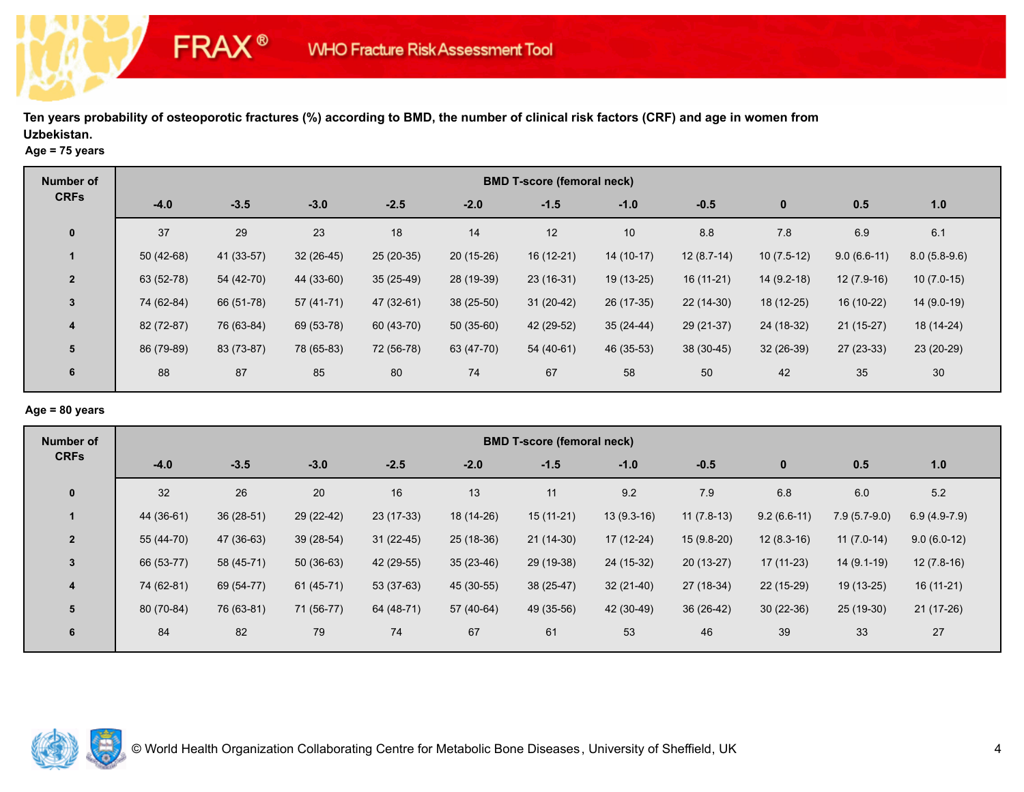### **Age = 75 years**

**FRAX®** 

| <b>Number of</b> |             |            |             |             |             | <b>BMD T-score (femoral neck)</b> |             |              |              |               |                |
|------------------|-------------|------------|-------------|-------------|-------------|-----------------------------------|-------------|--------------|--------------|---------------|----------------|
| <b>CRFs</b>      | $-4.0$      | $-3.5$     | $-3.0$      | $-2.5$      | $-2.0$      | $-1.5$                            | $-1.0$      | $-0.5$       | $\bf{0}$     | 0.5           | 1.0            |
| $\mathbf 0$      | 37          | 29         | 23          | 18          | 14          | 12                                | 10          | 8.8          | 7.8          | 6.9           | 6.1            |
|                  | $50(42-68)$ | 41 (33-57) | $32(26-45)$ | 25 (20-35)  | $20(15-26)$ | $16(12-21)$                       | $14(10-17)$ | $12(8.7-14)$ | $10(7.5-12)$ | $9.0(6.6-11)$ | $8.0(5.8-9.6)$ |
| $\overline{2}$   | 63 (52-78)  | 54 (42-70) | 44 (33-60)  | $35(25-49)$ | 28 (19-39)  | $23(16-31)$                       | 19 (13-25)  | $16(11-21)$  | $14(9.2-18)$ | $12(7.9-16)$  | $10(7.0-15)$   |
| 3                | 74 (62-84)  | 66 (51-78) | 57 (41-71)  | 47 (32-61)  | 38 (25-50)  | $31(20-42)$                       | 26 (17-35)  | $22(14-30)$  | 18 (12-25)   | 16 (10-22)    | $14(9.0-19)$   |
| $\overline{4}$   | 82 (72-87)  | 76 (63-84) | 69 (53-78)  | 60 (43-70)  | $50(35-60)$ | 42 (29-52)                        | $35(24-44)$ | 29 (21-37)   | 24 (18-32)   | $21(15-27)$   | 18 (14-24)     |
| 5                | 86 (79-89)  | 83 (73-87) | 78 (65-83)  | 72 (56-78)  | 63 (47-70)  | 54 (40-61)                        | 46 (35-53)  | 38 (30-45)   | $32(26-39)$  | $27(23-33)$   | 23 (20-29)     |
| 6                | 88          | 87         | 85          | 80          | 74          | 67                                | 58          | 50           | 42           | 35            | 30             |

# **Age = 80 years**

| Number of               |            |             |             |             |             | <b>BMD T-score (femoral neck)</b> |              |              |               |                |                |
|-------------------------|------------|-------------|-------------|-------------|-------------|-----------------------------------|--------------|--------------|---------------|----------------|----------------|
| <b>CRFs</b>             | $-4.0$     | $-3.5$      | $-3.0$      | $-2.5$      | $-2.0$      | $-1.5$                            | $-1.0$       | $-0.5$       | $\bf{0}$      | 0.5            | 1.0            |
| $\mathbf 0$             | 32         | 26          | 20          | 16          | 13          | 11                                | 9.2          | 7.9          | 6.8           | 6.0            | 5.2            |
| 1                       | 44 (36-61) | $36(28-51)$ | 29 (22-42)  | 23 (17-33)  | 18 (14-26)  | $15(11-21)$                       | $13(9.3-16)$ | $11(7.8-13)$ | $9.2(6.6-11)$ | $7.9(5.7-9.0)$ | $6.9(4.9-7.9)$ |
| $\overline{2}$          | 55 (44-70) | 47 (36-63)  | $39(28-54)$ | $31(22-45)$ | 25 (18-36)  | $21(14-30)$                       | 17 (12-24)   | $15(9.8-20)$ | $12(8.3-16)$  | $11(7.0-14)$   | $9.0(6.0-12)$  |
| 3                       | 66 (53-77) | 58 (45-71)  | $50(36-63)$ | 42 (29-55)  | $35(23-46)$ | 29 (19-38)                        | 24 (15-32)   | $20(13-27)$  | $17(11-23)$   | $14(9.1-19)$   | $12(7.8-16)$   |
| $\overline{\mathbf{4}}$ | 74 (62-81) | 69 (54-77)  | 61 (45-71)  | 53 (37-63)  | 45 (30-55)  | 38 (25-47)                        | $32(21-40)$  | 27 (18-34)   | 22 (15-29)    | 19 (13-25)     | $16(11-21)$    |
| 5                       | 80 (70-84) | 76 (63-81)  | 71 (56-77)  | 64 (48-71)  | 57 (40-64)  | 49 (35-56)                        | 42 (30-49)   | 36 (26-42)   | $30(22-36)$   | 25 (19-30)     | 21 (17-26)     |
| 6                       | 84         | 82          | 79          | 74          | 67          | 61                                | 53           | 46           | 39            | 33             | 27             |